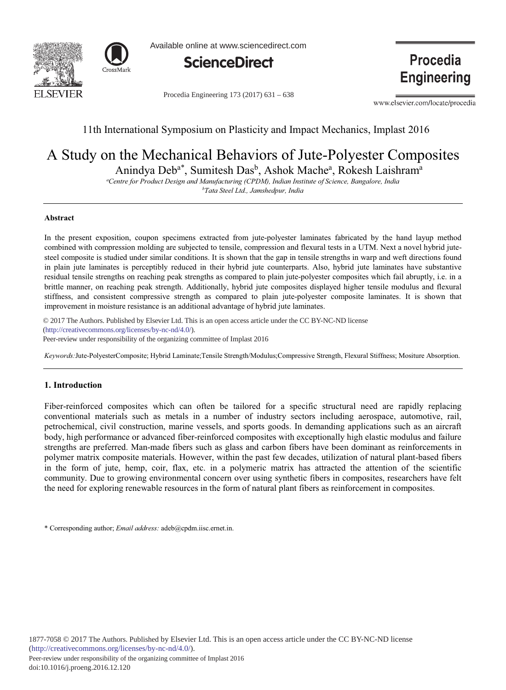



Available online at www.sciencedirect.com



Procedia Engineering 173 (2017) 631 - 638

**Procedia Engineering** 

www.elsevier.com/locate/procedia

## 11th International Symposium on Plasticity and Impact Mechanics, Implast 2016

# A Study on the Mechanical Behaviors of Jute-Polyester Composites

Anindya Deb<sup>a\*</sup>, Sumitesh Das<sup>b</sup>, Ashok Mache<sup>a</sup>, Rokesh Laishram<sup>a</sup>

*- 
--- - 

-- -* <sup>b</sup>Tata Steel Ltd., Jamshedpur, India

#### **-**

In the present exposition, coupon specimens extracted from jute-polyester laminates fabricated by the hand layup method combined with compression molding are subjected to tensile, compression and flexural tests in a UTM. Next a novel hybrid jutesteel composite is studied under similar conditions. It is shown that the gap in tensile strengths in warp and weft directions found in plain jute laminates is perceptibly reduced in their hybrid jute counterparts. Also, hybrid jute laminates have substantive residual tensile strengths on reaching peak strengths as compared to plain jute-polyester composites which fail abruptly, i.e. in a brittle manner, on reaching peak strength. Additionally, hybrid jute composites displayed higher tensile modulus and flexural stiffness, and consistent compressive strength as compared to plain jute-polyester composite laminates. It is shown that improvement in moisture resistance is an additional advantage of hybrid jute laminates.

 $\frac{1}{\text{http://creativecommons.org/licenses/by-nc-nd/4.0/">}.$ Peer-review under responsibility of the organizing committee of Implast 2016 © 2017 The Authors. Published by Elsevier Ltd. This is an open access article under the CC BY-NC-ND license

Keywords:Jute-PolyesterComposite; Hybrid Laminate;Tensile Strength/Modulus;Compressive Strength, Flexural Stiffness; Mositure Absorption.

## 1. Introduction

Fiber-reinforced composites which can often be tailored for a specific structural need are rapidly replacing conventional materials such as metals in a number of industry sectors including aerospace, automotive, rail, petrochemical, civil construction, marine vessels, and sports goods. In demanding applications such as an aircraft body, high performance or advanced fiber-reinforced composites with exceptionally high elastic modulus and failure strengths are preferred. Man-made fibers such as glass and carbon fibers have been dominant as reinforcements in polymer matrix composite materials. However, within the past few decades, utilization of natural plant-based fibers in the form of jute, hemp, coir, flax, etc. in a polymeric matrix has attracted the attention of the scientific community. Due to growing environmental concern over using synthetic fibers in composites, researchers have felt the need for exploring renewable resources in the form of natural plant fibers as reinforcement in composites.

\* Corresponding author; *Email address*: adeb@cpdm.iisc.ernet.in.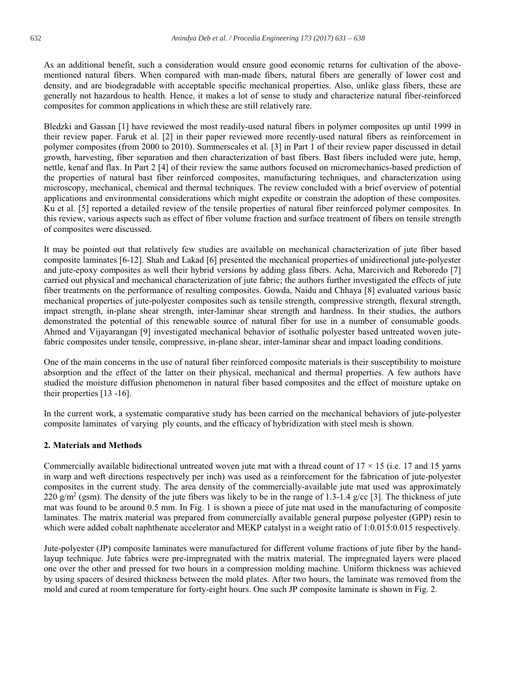As an additional benefit, such a consideration would ensure good economic returns for cultivation of the abovementioned natural fibers. When compared with man-made fibers, natural fibers are generally of lower cost and density, and are biodegradable with acceptable specific mechanical properties. Also, unlike glass fibers, these are generally not hazardous to health. Hence, it makes a lot of sense to study and characterize natural fiber-reinforced composites for common applications in which these are still relatively rare.

Bledzki and Gassan [1] have reviewed the most readily-used natural fibers in polymer composites up until 1999 in their review paper. Faruk et al. [2] in their paper reviewed more recently-used natural fibers as reinforcement in polymer composites (from 2000 to 2010). Summerscales et al. [3] in Part 1 of their review paper discussed in detail growth, harvesting, fiber separation and then characterization of bast fibers. Bast fibers included were jute, hemp, nettle, kenaf and flax. In Part 2 [4] of their review the same authors focused on micromechanics-based prediction of the properties of natural bast fiber reinforced composites, manufacturing techniques, and characterization using microscopy, mechanical, chemical and thermal techniques. The review concluded with a brief overview of potential applications and environmental considerations which might expedite or constrain the adoption of these composites. Ku et al. [5] reported a detailed review of the tensile properties of natural fiber reinforced polymer composites. In this review, various aspects such as effect of fiber volume fraction and surface treatment of fibers on tensile strength of composites were discussed.

It may be pointed out that relatively few studies are available on mechanical characterization of jute fiber based composite laminates [6-12]. Shah and Lakad [6] presented the mechanical properties of unidirectional jute-polyester and jute-epoxy composites as well their hybrid versions by adding glass fibers. Acha, Marcivich and Reboredo [7] carried out physical and mechanical characterization of jute fabric; the authors further investigated the effects of jute fiber treatments on the performance of resulting composites. Gowda, Naidu and Chhaya [8] evaluated various basic mechanical properties of jute-polyester composites such as tensile strength, compressive strength, flexural strength, impact strength, in-plane shear strength, inter-laminar shear strength and hardness. In their studies, the authors demonstrated the potential of this renewable source of natural fiber for use in a number of consumable goods. Ahmed and Vijayarangan [9] investigated mechanical behavior of isothalic polyester based untreated woven jutefabric composites under tensile, compressive, in-plane shear, inter-laminar shear and impact loading conditions.

One of the main concerns in the use of natural fiber reinforced composite materials is their susceptibility to moisture absorption and the effect of the latter on their physical, mechanical and thermal properties. A few authors have studied the moisture diffusion phenomenon in natural fiber based composites and the effect of moisture uptake on their properties  $[13 -16]$ .

In the current work, a systematic comparative study has been carried on the mechanical behaviors of jute-polyester composite laminates of varying ply counts, and the efficacy of hybridization with steel mesh is shown.

## 2. Materials and Methods

Commercially available bidirectional untreated woven jute mat with a thread count of  $17 \times 15$  (i.e. 17 and 15 yarns in warp and weft directions respectively per inch) was used as a reinforcement for the fabrication of jute-polyester composites in the current study. The area density of the commercially-available jute mat used was approximately 220 g/m<sup>2</sup> (gsm). The density of the jute fibers was likely to be in the range of 1.3-1.4 g/cc [3]. The thickness of jute mat was found to be around 0.5 mm. In Fig. 1 is shown a piece of jute mat used in the manufacturing of composite laminates. The matrix material was prepared from commercially available general purpose polyester (GPP) resin to which were added cobalt naphthenate accelerator and MEKP catalyst in a weight ratio of 1:0.015:0.015 respectively.

Jute-polyester (JP) composite laminates were manufactured for different volume fractions of jute fiber by the handlayup technique. Jute fabrics were pre-impregnated with the matrix material. The impregnated layers were placed one over the other and pressed for two hours in a compression molding machine. Uniform thickness was achieved by using spacers of desired thickness between the mold plates. After two hours, the laminate was removed from the mold and cured at room temperature for forty-eight hours. One such JP composite laminate is shown in Fig. 2.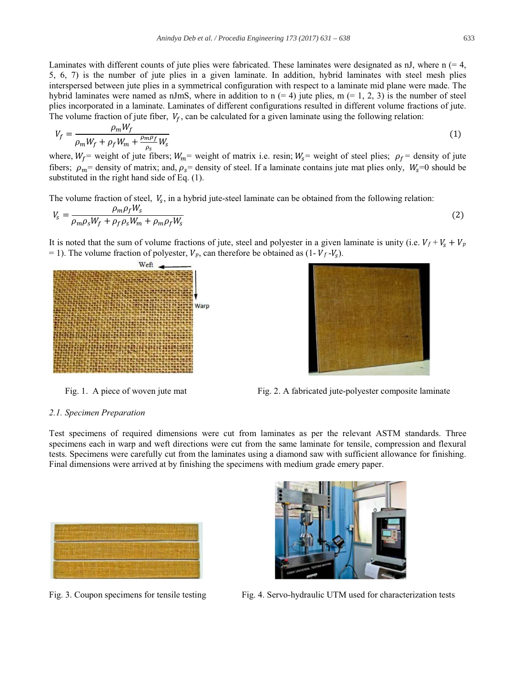633

Laminates with different counts of jute plies were fabricated. These laminates were designated as nJ, where  $n (= 4, 1)$ 5, 6, 7) is the number of jute plies in a given laminate. In addition, hybrid laminates with steel mesh plies interspersed between jute plies in a symmetrical configuration with respect to a laminate mid plane were made. The hybrid laminates were named as nJmS, where in addition to  $n (= 4)$  jute plies,  $m (= 1, 2, 3)$  is the number of steel plies incorporated in a laminate. Laminates of different configurations resulted in different volume fractions of jute. The volume fraction of jute fiber,  $V_f$ , can be calculated for a given laminate using the following relation:

$$
V_f = \frac{\rho_m W_f}{\rho_m W_f + \rho_f W_m + \frac{\rho_m \rho_f}{\rho_s} W_s}
$$
(1)

where,  $W_f$  = weight of jute fibers;  $W_m$  = weight of matrix i.e. resin;  $W_s$  = weight of steel plies;  $\rho_f$  = density of jute fibers;  $\rho_m$  = density of matrix; and,  $\rho_s$  = density of steel. If a laminate contains jute mat plies only,  $W_s$  =0 should be substituted in the right hand side of Eq.  $(1)$ .

The volume fraction of steel,  $V_s$ , in a hybrid jute-steel laminate can be obtained from the following relation:

$$
V_s = \frac{\rho_m \rho_f w_s}{\rho_m \rho_s W_f + \rho_f \rho_s W_m + \rho_m \rho_f W_s} \tag{2}
$$

It is noted that the sum of volume fractions of jute, steel and polyester in a given laminate is unity (i.e.  $V_f + V_s + V_p$  $=$  1). The volume fraction of polyester,  $V_p$ , can therefore be obtained as (1- $V_f$ - $V_s$ ).





Fig. 1. A piece of woven jute mat

Fig. 2. A fabricated jute-polyester composite laminate

#### 2.1. Specimen Preparation

Test specimens of required dimensions were cut from laminates as per the relevant ASTM standards. Three specimens each in warp and weft directions were cut from the same laminate for tensile, compression and flexural tests. Specimens were carefully cut from the laminates using a diamond saw with sufficient allowance for finishing. Final dimensions were arrived at by finishing the specimens with medium grade emery paper.



Fig. 3. Coupon specimens for tensile testing



Fig. 4. Servo-hydraulic UTM used for characterization tests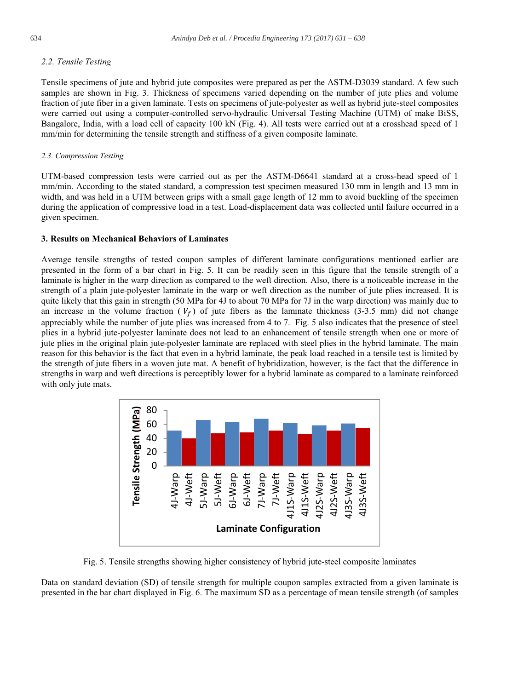#### 2.2. Tensile Testing

Tensile specimens of jute and hybrid jute composites were prepared as per the ASTM-D3039 standard. A few such samples are shown in Fig. 3. Thickness of specimens varied depending on the number of jute plies and volume fraction of jute fiber in a given laminate. Tests on specimens of jute-polyester as well as hybrid jute-steel composites were carried out using a computer-controlled servo-hydraulic Universal Testing Machine (UTM) of make BiSS, Bangalore, India, with a load cell of capacity 100 kN (Fig. 4). All tests were carried out at a crosshead speed of 1 mm/min for determining the tensile strength and stiffness of a given composite laminate.

#### 2.3. Compression Testing

UTM-based compression tests were carried out as per the ASTM-D6641 standard at a cross-head speed of 1 mm/min. According to the stated standard, a compression test specimen measured 130 mm in length and 13 mm in width, and was held in a UTM between grips with a small gage length of 12 mm to avoid buckling of the specimen during the application of compressive load in a test. Load-displacement data was collected until failure occurred in a given specimen.

#### 3. Results on Mechanical Behaviors of Laminates

Average tensile strengths of tested coupon samples of different laminate configurations mentioned earlier are presented in the form of a bar chart in Fig. 5. It can be readily seen in this figure that the tensile strength of a laminate is higher in the warp direction as compared to the weft direction. Also, there is a noticeable increase in the strength of a plain jute-polyester laminate in the warp or weft direction as the number of jute plies increased. It is quite likely that this gain in strength (50 MPa for 4J to about 70 MPa for 7J in the warp direction) was mainly due to an increase in the volume fraction  $(V_f)$  of jute fibers as the laminate thickness (3-3.5 mm) did not change appreciably while the number of jute plies was increased from 4 to 7. Fig. 5 also indicates that the presence of steel plies in a hybrid jute-polyester laminate does not lead to an enhancement of tensile strength when one or more of jute plies in the original plain jute-polyester laminate are replaced with steel plies in the hybrid laminate. The main reason for this behavior is the fact that even in a hybrid laminate, the peak load reached in a tensile test is limited by the strength of jute fibers in a woven jute mat. A benefit of hybridization, however, is the fact that the difference in strengths in warp and weft directions is perceptibly lower for a hybrid laminate as compared to a laminate reinforced with only jute mats.



Fig. 5. Tensile strengths showing higher consistency of hybrid jute-steel composite laminates

Data on standard deviation (SD) of tensile strength for multiple coupon samples extracted from a given laminate is presented in the bar chart displayed in Fig. 6. The maximum SD as a percentage of mean tensile strength (of samples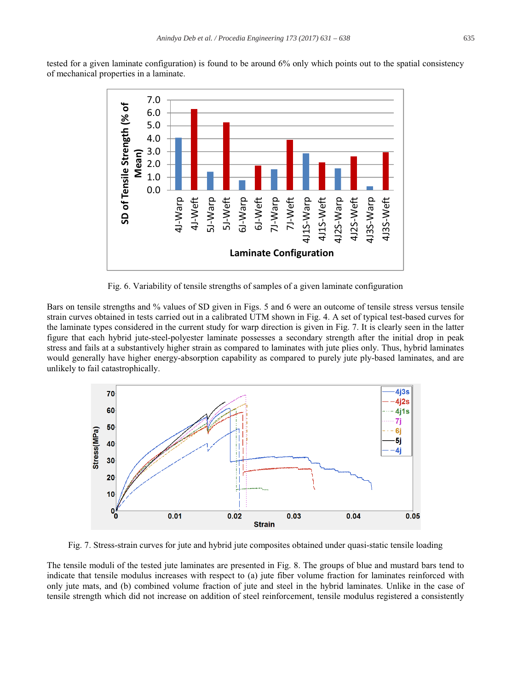tested for a given laminate configuration) is found to be around 6% only which points out to the spatial consistency of mechanical properties in a laminate.



Fig. 6. Variability of tensile strengths of samples of a given laminate configuration

Bars on tensile strengths and % values of SD given in Figs. 5 and 6 were an outcome of tensile stress versus tensile strain curves obtained in tests carried out in a calibrated UTM shown in Fig. 4. A set of typical test-based curves for the laminate types considered in the current study for warp direction is given in Fig. 7. It is clearly seen in the latter figure that each hybrid jute-steel-polyester laminate possesses a secondary strength after the initial drop in peak stress and fails at a substantively higher strain as compared to laminates with jute plies only. Thus, hybrid laminates would generally have higher energy-absorption capability as compared to purely jute ply-based laminates, and are unlikely to fail catastrophically.



Fig. 7. Stress-strain curves for jute and hybrid jute composites obtained under quasi-static tensile loading

The tensile moduli of the tested jute laminates are presented in Fig. 8. The groups of blue and mustard bars tend to indicate that tensile modulus increases with respect to (a) jute fiber volume fraction for laminates reinforced with only jute mats, and (b) combined volume fraction of jute and steel in the hybrid laminates. Unlike in the case of tensile strength which did not increase on addition of steel reinforcement, tensile modulus registered a consistently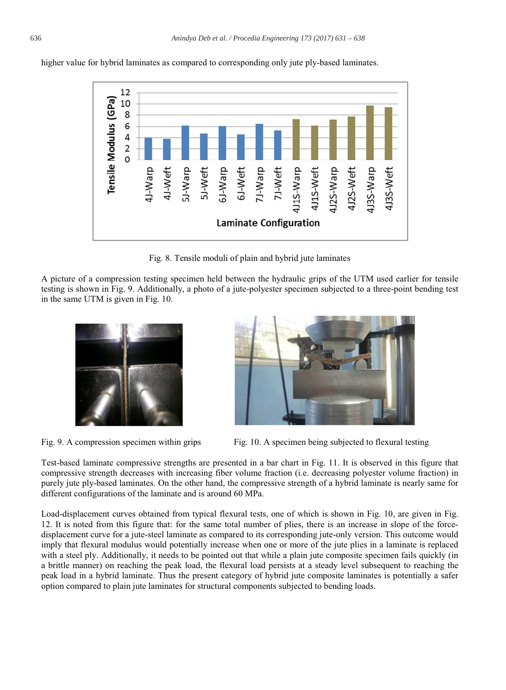higher value for hybrid laminates as compared to corresponding only jute ply-based laminates.



Fig. 8. Tensile moduli of plain and hybrid jute laminates

A picture of a compression testing specimen held between the hydraulic grips of the UTM used earlier for tensile testing is shown in Fig. 9. Additionally, a photo of a jute-polyester specimen subjected to a three-point bending test in the same UTM is given in Fig. 10.



Fig. 9. A compression specimen within grips



Fig. 10. A specimen being subjected to flexural testing

Test-based laminate compressive strengths are presented in a bar chart in Fig. 11. It is observed in this figure that compressive strength decreases with increasing fiber volume fraction (i.e. decreasing polyester volume fraction) in purely jute ply-based laminates. On the other hand, the compressive strength of a hybrid laminate is nearly same for different configurations of the laminate and is around 60 MPa.

Load-displacement curves obtained from typical flexural tests, one of which is shown in Fig. 10, are given in Fig. 12. It is noted from this figure that: for the same total number of plies, there is an increase in slope of the forcedisplacement curve for a jute-steel laminate as compared to its corresponding jute-only version. This outcome would imply that flexural modulus would potentially increase when one or more of the jute plies in a laminate is replaced with a steel ply. Additionally, it needs to be pointed out that while a plain jute composite specimen fails quickly (in a brittle manner) on reaching the peak load, the flexural load persists at a steady level subsequent to reaching the peak load in a hybrid laminate. Thus the present category of hybrid jute composite laminates is potentially a safer option compared to plain jute laminates for structural components subjected to bending loads.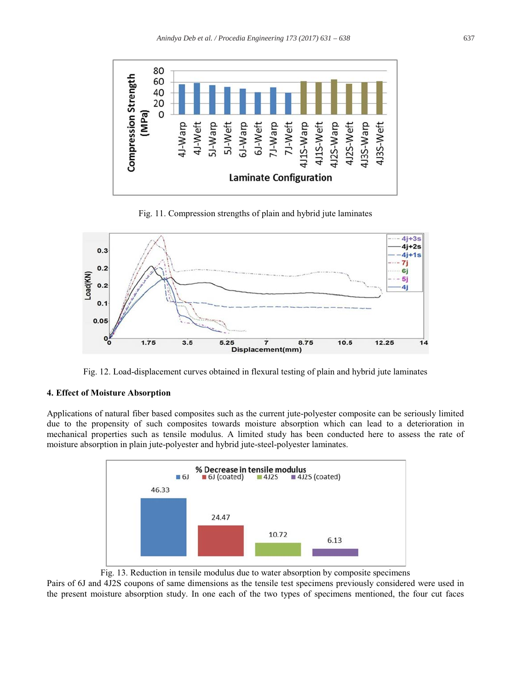

Fig. 11. Compression strengths of plain and hybrid jute laminates



Fig. 12. Load-displacement curves obtained in flexural testing of plain and hybrid jute laminates

#### 4. Effect of Moisture Absorption

Applications of natural fiber based composites such as the current jute-polyester composite can be seriously limited due to the propensity of such composites towards moisture absorption which can lead to a deterioration in mechanical properties such as tensile modulus. A limited study has been conducted here to assess the rate of moisture absorption in plain jute-polyester and hybrid jute-steel-polyester laminates.



Fig. 13. Reduction in tensile modulus due to water absorption by composite specimens

Pairs of 6J and 4J2S coupons of same dimensions as the tensile test specimens previously considered were used in the present moisture absorption study. In one each of the two types of specimens mentioned, the four cut faces